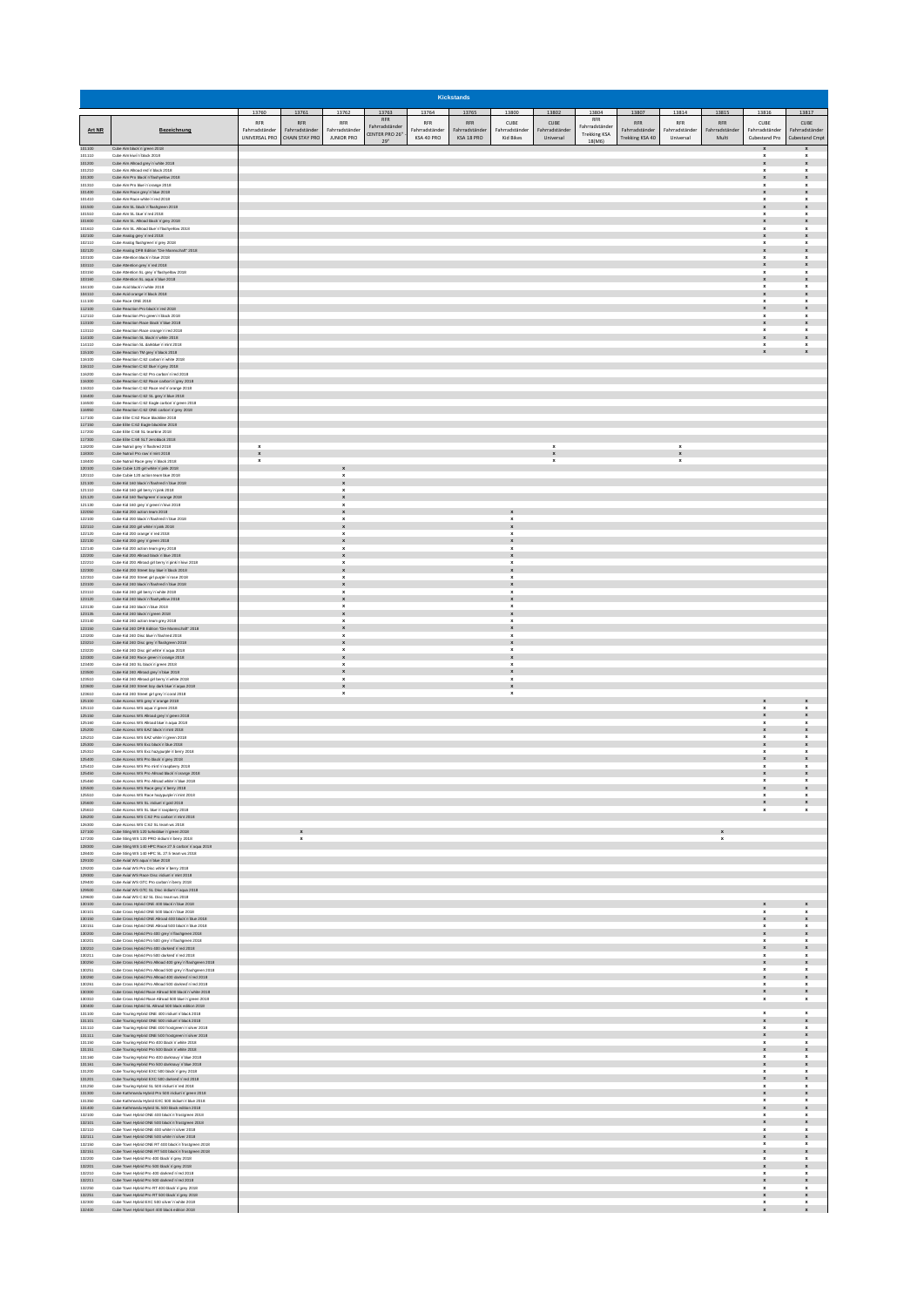|                            |                                                                                                                                                                         |                                        |                                  |                                                          |                                |                              | <b>Kickstands</b>              |                                               |                                          |                               |                                       |                                          |                         |                                                                       |                                                                       |
|----------------------------|-------------------------------------------------------------------------------------------------------------------------------------------------------------------------|----------------------------------------|----------------------------------|----------------------------------------------------------|--------------------------------|------------------------------|--------------------------------|-----------------------------------------------|------------------------------------------|-------------------------------|---------------------------------------|------------------------------------------|-------------------------|-----------------------------------------------------------------------|-----------------------------------------------------------------------|
|                            |                                                                                                                                                                         | 13760<br><b>RFR</b>                    | 13761<br><b>RFR</b>              | 13762<br><b>RFR</b>                                      | 13763<br>RFR<br>Fahrradständer | <b>RFR</b>                   | 13764 13765 13800 13802<br>RFR | CUBE                                          | CUBE                                     | <b>RFR</b><br>Fahrradständer  | 13804 13807 13814 13815<br><b>RFR</b> | <b>RFR</b>                               | <b>RFR</b>              | 13816<br>CUBE                                                         | 13817<br>CUBE                                                         |
| Art NR                     | Bezeichnung                                                                                                                                                             | Fahrradständer<br><b>UNIVERSAL PRO</b> | Fahrradständer<br>CHAIN STAY PRO | Fahrradständer<br><b>JUNIOR PRO</b>                      | CENTER PRO 26"<br>29"          | Fahrradständer<br>KSA 40 PRO | Fahrradständer<br>KSA 18 PRO   | Fahrradständer<br>Kid Bikes                   | Fahrradständer<br>Universal              | <b>Trekking KSA</b><br>18(M6) | Fahrradständer<br>Trekking KSA 40     | Fahrradständer<br>Universal              | Fahrradständer<br>Multi | Fahrradständer<br>Cubestand Pro                                       | Fahrradständer<br>Cubestand Cmpt                                      |
| 101100<br>101110           | Cube Aim black'n 'green 2018<br>Cube Aim kiwi'n black 2018                                                                                                              |                                        |                                  |                                                          |                                |                              |                                |                                               |                                          |                               |                                       |                                          |                         | $\boldsymbol{\mathsf{x}}$<br>$\pmb{\mathsf{x}}$                       | $\boldsymbol{x}$<br>x                                                 |
| 101200<br>101210<br>101300 | Cube Aim Alroad grey'n'white 2018<br>Cube Aim Alroad red'n black 2018<br>Cube Aim Pro black'n'flashyellow 2018                                                          |                                        |                                  |                                                          |                                |                              |                                |                                               |                                          |                               |                                       |                                          |                         | $\pmb{\mathsf{x}}$<br>$\mathbf{x}$                                    | $\pmb{\mathsf{x}}$<br>$\mathbf{x}$<br>$\pmb{\mathsf{x}}$              |
| 101310<br>101400           | Cube Aim Pro blue'n'orange 2018<br>Cube Aim Race grey'n 'blue 2018                                                                                                      |                                        |                                  |                                                          |                                |                              |                                |                                               |                                          |                               |                                       |                                          |                         | $\pmb{\mathsf{x}}$                                                    | $\pmb{\mathsf{x}}$<br>$\pmb{\mathsf{x}}$                              |
| 101410<br>101500           | Cube Aim Race white'n'red 2018<br>Cube Aim SL black'n flashgreen 2018                                                                                                   |                                        |                                  |                                                          |                                |                              |                                |                                               |                                          |                               |                                       |                                          |                         | $\pmb{\mathsf{x}}$<br>$\pmb{\mathsf{x}}$                              | $\pmb{\mathsf{x}}$<br>$\pmb{\mathsf{x}}$                              |
| 101510<br>101600<br>101610 | Cube Aim SL blue'n'red 2018<br>Cube Aim SL Allroad black 'n 'grey 2018<br>Cube Aim SL Allroad blue'n'flashyellow 2018                                                   |                                        |                                  |                                                          |                                |                              |                                |                                               |                                          |                               |                                       |                                          |                         | $\boldsymbol{\mathsf{x}}$<br>$\pmb{\mathsf{x}}$<br>$\mathbf{x}$       | $\boldsymbol{\mathsf{x}}$<br>$\pmb{\mathsf{x}}$<br>$\pmb{\mathsf{x}}$ |
| 102100<br>102110           | Cube Analog grey 'n'red 2018<br>Cube Analog flashgreen'n'grey 2018                                                                                                      |                                        |                                  |                                                          |                                |                              |                                |                                               |                                          |                               |                                       |                                          |                         | $\pmb{\mathsf{x}}$<br>$\pmb{\mathsf{x}}$                              | $\pmb{\mathsf{x}}$<br>$\pmb{\mathsf{x}}$                              |
| 102120<br>103100           | Cube Analog DFB Edition "Die Mannschaft" 2018<br>Cube Attention black'n'blue 2018                                                                                       |                                        |                                  |                                                          |                                |                              |                                |                                               |                                          |                               |                                       |                                          |                         | $\pmb{\mathsf{x}}$<br>$\pmb{\mathsf{x}}$                              | $\pmb{\mathsf{x}}$<br>$\pmb{\mathsf{x}}$                              |
| 103110<br>103150           | Cube Attention grey 'n'red 2018<br>Cube Attention SL grey'n Tashvellow 2018                                                                                             |                                        |                                  |                                                          |                                |                              |                                |                                               |                                          |                               |                                       |                                          |                         | $\pmb{\mathsf{x}}$<br>$\pmb{\mathsf{x}}$                              | $\pmb{\mathsf{x}}$<br>$\mathbf x$                                     |
| 103160<br>104100<br>104110 | Cube Attention SL aqua'n blue 2018<br>Cube Anid Nack'n white 2018<br>Cube Acid orange'n 'black 2018                                                                     |                                        |                                  |                                                          |                                |                              |                                |                                               |                                          |                               |                                       |                                          |                         | $\pmb{\mathsf{x}}$<br>$\mathbf{x}$<br>$\pmb{\mathsf{x}}$              | $\pmb{\mathsf{x}}$<br>$\mathbf{x}$<br>$\pmb{\mathsf{x}}$              |
| 111100<br>112100           | Cube Race ONE 2018<br>Cube Reaction Pro black'n'red 2018                                                                                                                |                                        |                                  |                                                          |                                |                              |                                |                                               |                                          |                               |                                       |                                          |                         | $\pmb{\mathsf{x}}$                                                    | $\pmb{\mathsf{x}}$<br>$\pmb{\mathsf{x}}$                              |
| 112110<br>113100           | Cube Reaction Pro green'n black 2018<br>Cube Reaction Race black'n blue 2018                                                                                            |                                        |                                  |                                                          |                                |                              |                                |                                               |                                          |                               |                                       |                                          |                         | ×<br>$\pmb{\mathsf{x}}$                                               | x<br>$\pmb{\mathsf{x}}$                                               |
| 113110<br>114100           | Cube Reaction Race orange in red 2018<br>Cube Reaction SL black'n white 2018                                                                                            |                                        |                                  |                                                          |                                |                              |                                |                                               |                                          |                               |                                       |                                          |                         | $\pmb{\mathsf{x}}$<br>$\mathbf{x}$                                    | $\boldsymbol{\mathsf{x}}$<br>$\pmb{\mathsf{x}}$                       |
| 114110<br>115100<br>116100 | Cube Reaction SL darkblue'n'mint 2018<br>Cube Reaction TM grey 'n black 2018<br>Cube Reaction C:62 carbon'n'white 2018                                                  |                                        |                                  |                                                          |                                |                              |                                |                                               |                                          |                               |                                       |                                          |                         | $\pmb{\mathsf{x}}$<br>$\mathbf{x}$                                    | $\pmb{\mathsf{x}}$<br>$\pmb{\mathsf{x}}$                              |
| 116110<br>116200           | Cube Reaction C:62 blue'n'grey 2018<br>Cube Reaction C:62 Pro carbon'n'red 2018                                                                                         |                                        |                                  |                                                          |                                |                              |                                |                                               |                                          |                               |                                       |                                          |                         |                                                                       |                                                                       |
| 116300<br>116310           | Cube Reaction C:62 Race carbon'n'grey 2018<br>Cube Reaction C:62 Race red'n'orange 2018                                                                                 |                                        |                                  |                                                          |                                |                              |                                |                                               |                                          |                               |                                       |                                          |                         |                                                                       |                                                                       |
| 116400<br>116500           | Cube Reaction C:62 SL grey'n blue 2018<br>Cube Reaction C:62 Eagle carbon'n'green 2018                                                                                  |                                        |                                  |                                                          |                                |                              |                                |                                               |                                          |                               |                                       |                                          |                         |                                                                       |                                                                       |
| 116950<br>117100<br>117150 | Cube Reaction C:62 ONE carbon'n'grey 2018<br>Cube Elite C:62 Race blackline 2018<br>Cube Elte C:62 Eagle blackline 2018                                                 |                                        |                                  |                                                          |                                |                              |                                |                                               |                                          |                               |                                       |                                          |                         |                                                                       |                                                                       |
| 117200<br>117300           | Cube Elte C:68 SL teamine 2018<br>Cube Elfe C:68 SLT zeroblack 2018                                                                                                     |                                        |                                  |                                                          |                                |                              |                                |                                               |                                          |                               |                                       |                                          |                         |                                                                       |                                                                       |
| 118200<br>118300           | Cube Nutrail grey 'n'flashred 2018<br>Cube Nutrail Pro raw 'n 'mint 2018                                                                                                | x<br>$\pmb{\mathsf{x}}$                |                                  |                                                          |                                |                              |                                |                                               | $\pmb{\mathsf{x}}$<br>$\pmb{\mathsf{x}}$ |                               |                                       | $\pmb{\mathsf{x}}$<br>$\pmb{\mathsf{x}}$ |                         |                                                                       |                                                                       |
| 118400<br>120100<br>120110 | Cube Nutrail Race grey'n black 2018<br>Cube Cubie 120 girl white 'n' pink 2018<br>Cube Cubie 120 action team blue 2018                                                  | $\boldsymbol{\mathsf{x}}$              |                                  |                                                          |                                |                              |                                |                                               | $\pmb{\mathsf{x}}$                       |                               |                                       | $\boldsymbol{\mathsf{x}}$                |                         |                                                                       |                                                                       |
| 121100<br>121110           | Cube Kid 160 black'n'flashred'n blue 2018<br>Cube Kid 160 girl berry 'n' pink 2018                                                                                      |                                        |                                  | ×<br>$\boldsymbol{\mathsf{x}}$<br>x                      |                                |                              |                                |                                               |                                          |                               |                                       |                                          |                         |                                                                       |                                                                       |
| 121120<br>121130           | Cube Kid 160 flashgreen'n'orange 2018<br>Cube Kid 160 grey'n green'n kiwi 2018                                                                                          |                                        |                                  | $\pmb{\mathsf{x}}$                                       |                                |                              |                                |                                               |                                          |                               |                                       |                                          |                         |                                                                       |                                                                       |
| 122050<br>122100           | Cube Kid 200 action team 2018<br>Cube Kid 200 black'n flashred'n blue 2018                                                                                              |                                        |                                  | $\mathbf x$<br>$\mathbf{x}$                              |                                |                              |                                | $\mathbf{x}$                                  |                                          |                               |                                       |                                          |                         |                                                                       |                                                                       |
| 122110<br>122120           | Cube Kid 200 girl white 'n'pink 2018<br>Cube Kid 200 orange'n 'red 2018<br>Cube Kid 200 grey'n'green 2018                                                               |                                        |                                  | $\pmb{\mathsf{x}}$<br>$\mathbf{x}$                       |                                |                              |                                | $\pmb{\mathsf{x}}$<br>x                       |                                          |                               |                                       |                                          |                         |                                                                       |                                                                       |
| 122130<br>122140<br>122200 | Cube Kid 200 action team grey 2018<br>Cube Kid 200 Allroad black'n blue 2018                                                                                            |                                        |                                  | x                                                        |                                |                              |                                | x<br>×<br>$\pmb{\mathsf{x}}$                  |                                          |                               |                                       |                                          |                         |                                                                       |                                                                       |
| 122210<br>122300           | Cube Kid 200 Alroad girl berry'n' pink'n 'kiwi 2018<br>Cube Kid 200 Street boy blue'n black 2018                                                                        |                                        |                                  | x<br>$\pmb{\mathsf{x}}$                                  |                                |                              |                                | ×<br>$\pmb{\mathsf{x}}$                       |                                          |                               |                                       |                                          |                         |                                                                       |                                                                       |
| 122310<br>123100           | Cube Kid 200 Street girl purple'n'rose 2018<br>Cube Kid 240 black'n'flashred'n'blue 2018                                                                                |                                        |                                  | $\boldsymbol{\mathsf{x}}$<br>$\mathbf{x}$                |                                |                              |                                | $\pmb{\mathsf{x}}$<br>$\pmb{\mathsf{x}}$      |                                          |                               |                                       |                                          |                         |                                                                       |                                                                       |
| 123110<br>123120<br>123130 | Cube Kid 240 girl berry 'n'white 2018<br>Cube Kid 240 black'n'flashyellow 2018<br>Cube Kid 240 black'n blue 2018                                                        |                                        |                                  | $\boldsymbol{\mathsf{x}}$<br>$\pmb{\mathsf{x}}$<br>x     |                                |                              |                                | $\pmb{\mathsf{x}}$<br>$\pmb{\mathsf{x}}$<br>x |                                          |                               |                                       |                                          |                         |                                                                       |                                                                       |
| 123135<br>123140           | Cube Kid 240 black'n'green 2018<br>Cube Kid 240 action team grey 2018                                                                                                   |                                        |                                  | x                                                        |                                |                              |                                | $\pmb{\mathsf{x}}$<br>$\pmb{\mathsf{x}}$      |                                          |                               |                                       |                                          |                         |                                                                       |                                                                       |
| 123150<br>123200           | Cube Kid 240 DFB Edition "Die Mannschaft" 2018<br>Cube Kid 240 Disc blue'n 'flashred 2018                                                                               |                                        |                                  | $\mathbf{x}$<br>$\pmb{\mathsf{x}}$                       |                                |                              |                                | $\pmb{\mathsf{x}}$<br>$\pmb{\mathsf{x}}$      |                                          |                               |                                       |                                          |                         |                                                                       |                                                                       |
| 123210<br>123220           | Cube Kid 240 Disc grey 'n flashgreen 2018<br>Cube Kid 240 Disc girl white'n'aqua 2018                                                                                   |                                        |                                  | $\mathbf{x}$<br>$\mathbf{x}$                             |                                |                              |                                | $\pmb{\mathsf{x}}$<br>$\mathbf{x}$            |                                          |                               |                                       |                                          |                         |                                                                       |                                                                       |
| 123300<br>123400<br>123500 | Cube Kid 240 Race green'n'orange 2018<br>Cube Kid 240 SL black'n'green 2018<br>Cube Kid 240 Alroad grey'n blue 2018                                                     |                                        |                                  | $\pmb{\mathsf{x}}$<br>$\mathbf{x}$<br>$\pmb{\mathsf{x}}$ |                                |                              |                                | $\pmb{\mathsf{x}}$<br>x<br>$\pmb{\mathsf{x}}$ |                                          |                               |                                       |                                          |                         |                                                                       |                                                                       |
| 123510<br>123600           | Cube Kid 240 Alroad girl berry'n'white 2018<br>Cube Kid 240 Street boy dark blue'n 'aqua 2018                                                                           |                                        |                                  | x<br>$\pmb{\mathsf{x}}$                                  |                                |                              |                                | ×<br>$\pmb{\mathsf{x}}$                       |                                          |                               |                                       |                                          |                         |                                                                       |                                                                       |
| 123610<br>125100           | Cube Kid 240 Street girl grey 'n 'coral 2018<br>Cube Access WS grey in orange 2018                                                                                      |                                        |                                  | $\boldsymbol{\mathsf{x}}$                                |                                |                              |                                | $\pmb{\mathsf{x}}$                            |                                          |                               |                                       |                                          |                         | $\pmb{\mathsf{x}}$                                                    | $\pmb{\mathsf{x}}$                                                    |
| 125110<br>125150           | Cube Access WS aqua'n'green 2018<br>Cube Access WS Alroad grey'n'green 2018                                                                                             |                                        |                                  |                                                          |                                |                              |                                |                                               |                                          |                               |                                       |                                          |                         | $\pmb{\mathsf{x}}$<br>$\pmb{\mathsf{x}}$                              | $\mathbf{x}$<br>$\pmb{\mathsf{x}}$                                    |
| 125160<br>125200<br>125210 | Cube Access WS Alroad blue'n aqua 2018<br>Cube Access WS EAZ black in mint 2018<br>Cube Access WS EAZ white'n'green 2018                                                |                                        |                                  |                                                          |                                |                              |                                |                                               |                                          |                               |                                       |                                          |                         | $\pmb{\mathsf{x}}$<br>$\pmb{\mathsf{x}}$<br>$\pmb{\mathsf{x}}$        | $\pmb{\mathsf{x}}$<br>$\pmb{\mathsf{x}}$<br>$\pmb{\mathsf{x}}$        |
| 125300<br>125310           | Cube Access WS Exc black'n'blue 2018<br>Cube Access WS Exc hazypurple'n'berry 2018                                                                                      |                                        |                                  |                                                          |                                |                              |                                |                                               |                                          |                               |                                       |                                          |                         | $\pmb{\mathsf{x}}$<br>$\pmb{\mathsf{x}}$                              | $\pmb{\mathsf{x}}$<br>$\pmb{\mathsf{x}}$                              |
| 125400<br>125410           | Cube Access WS Pro black'n'grey 2018<br>Cube Anness WS Pro mint'n 'rasnherry 2018                                                                                       |                                        |                                  |                                                          |                                |                              |                                |                                               |                                          |                               |                                       |                                          |                         | $\mathbf{x}$<br>$\mathbf{x}$                                          | $\pmb{\mathsf{x}}$<br>$\mathbf{x}$                                    |
| 125450<br>125460           | Cube Access WS Pro Alroad black'n'orange 2018<br>Cube Access WS Pro Alroad white'n blue 2018                                                                            |                                        |                                  |                                                          |                                |                              |                                |                                               |                                          |                               |                                       |                                          |                         | $\mathbf{x}$                                                          | $\pmb{\mathsf{x}}$<br>$\pmb{\mathsf{x}}$                              |
| 125500<br>125510<br>125600 | Cube Access WS Race grey'n berry 2018<br>Cube Access WS Race hazypurple'n mint 2018<br>Cube Access WS SL iridium'n'aold 2018                                            |                                        |                                  |                                                          |                                |                              |                                |                                               |                                          |                               |                                       |                                          |                         | $\pmb{\mathsf{x}}$                                                    | $\pmb{\mathsf{x}}$<br>$\pmb{\mathsf{x}}$<br>$\pmb{\mathsf{x}}$        |
| 125610<br>126200           | Cube Access WS SL blue'n'rasoberry 2018<br>Cube Access WS C:62 Pro carbon'n'mint 2018                                                                                   |                                        |                                  |                                                          |                                |                              |                                |                                               |                                          |                               |                                       |                                          |                         |                                                                       | x                                                                     |
| 126300<br>127100           | Cube Access WS C:62 SL team ws 2018<br>Cube Sting WS 120 turkisblue'n green 2018                                                                                        |                                        | $\mathbf{x}$                     |                                                          |                                |                              |                                |                                               |                                          |                               |                                       |                                          | $\pmb{\mathsf{x}}$      |                                                                       |                                                                       |
| 127200<br>128300           | Cube Sting WS 120 PRO indium'n berry 2018<br>Cube Sting WS 140 HPC Race 27.5 carbon'n'aqua 2018                                                                         |                                        | $\pmb{\mathsf{x}}$               |                                                          |                                |                              |                                |                                               |                                          |                               |                                       |                                          | $\pmb{\mathsf{x}}$      |                                                                       |                                                                       |
| 128400<br>129100<br>129200 | Cube Sting WS 140 HPC SL 27.5 team ws 2018<br>Cube Axial WS aqua 'n 'blue 2018<br>Cube Axial WS Pro Disc white'n berry 2018                                             |                                        |                                  |                                                          |                                |                              |                                |                                               |                                          |                               |                                       |                                          |                         |                                                                       |                                                                       |
| 129300<br>129400           | Cube Axial WS Race Disc iridium'n'mint 2018<br>Cube Axial WS GTC Pro carbon'n berry 2018                                                                                |                                        |                                  |                                                          |                                |                              |                                |                                               |                                          |                               |                                       |                                          |                         |                                                                       |                                                                       |
| 129500<br>129600           | Cube Axial WS GTC SL Disc iridium'n'aqua 2018<br>Cube Axial WS C:62 SL Disc team ws 2018                                                                                |                                        |                                  |                                                          |                                |                              |                                |                                               |                                          |                               |                                       |                                          |                         |                                                                       |                                                                       |
| 130100<br>130101<br>130150 | Cube Cross Hybrid ONE 400 black in blue 2018<br>Cube Cross Hybrid ONE 500 black in blue 2018<br>Cube Cross Hybrid ONE Alroad 400 black'n'blue 2018                      |                                        |                                  |                                                          |                                |                              |                                |                                               |                                          |                               |                                       |                                          |                         | $\pmb{\mathsf{x}}$<br>x<br>$\pmb{\mathsf{x}}$                         | $\pmb{\mathsf{x}}$                                                    |
| 130151<br>130200           | Cube Cross Hybrid ONE Alroad 500 black'n'blue 2018<br>Cube Cross Hybrid Pro 400 grey'n flashgreen 2018                                                                  |                                        |                                  |                                                          |                                |                              |                                |                                               |                                          |                               |                                       |                                          |                         | $\pmb{\mathsf{x}}$<br>$\pmb{\mathsf{x}}$                              | $\boldsymbol{\mathsf{x}}$<br>$\pmb{\mathsf{x}}$                       |
| 130201<br>130210           | Cube Cross Hybrid Pro 500 grey'n 'flashgreen 2018<br>Cube Cross Hybrid Pro 400 darkred in red 2018                                                                      |                                        |                                  |                                                          |                                |                              |                                |                                               |                                          |                               |                                       |                                          |                         | $\pmb{\mathsf{x}}$<br>$\pmb{\mathsf{x}}$                              | $\mathbf{x}$<br>$\pmb{\mathsf{x}}$                                    |
| 130211<br>130250           | Cube Cross Hybrid Pro 500 darkred n'red 2018<br>Cube Cross Hybrid Pro Allroad 400 gray 'n Tashgreen 2018                                                                |                                        |                                  |                                                          |                                |                              |                                |                                               |                                          |                               |                                       |                                          |                         | $\pmb{\mathsf{x}}$<br>$\pmb{\mathsf{x}}$                              | $\pmb{\mathsf{x}}$<br>$\pmb{\mathsf{x}}$                              |
| 130251<br>130260<br>130261 | Cube Cross Hybrid Pro Alroad 500 gray 'n Tashgreen 2018<br>Cube Cross Hybrid Pro Allroad 400 darkred n'red 2018<br>Cube Cross Hybrid Pro Alroad 500 darkred in red 2018 |                                        |                                  |                                                          |                                |                              |                                |                                               |                                          |                               |                                       |                                          |                         | $\pmb{\mathsf{x}}$<br>$\pmb{\mathsf{x}}$<br>×                         | $\pmb{\mathsf{x}}$<br>$\pmb{\mathsf{x}}$<br>$\pmb{\mathsf{x}}$        |
| 130300<br>130310           | Cube Cross Hybrid Race Alroad 500 black in white 2018<br>Cube Cross Hybrid Race Alroad 500 blue'n'green 2018                                                            |                                        |                                  |                                                          |                                |                              |                                |                                               |                                          |                               |                                       |                                          |                         | $\pmb{\mathsf{x}}$<br>$\boldsymbol{\mathsf{x}}$                       | $\pmb{\mathsf{x}}$<br>$\pmb{\mathsf{x}}$                              |
| 130400<br>131100           | Cube Cross Hybrid SL Allroad 500 black edition 2018<br>Cube Touring Hybrid ONE 400 indium in black 2018                                                                 |                                        |                                  |                                                          |                                |                              |                                |                                               |                                          |                               |                                       |                                          |                         | $\mathbf{x}$                                                          | $\mathbf{x}$                                                          |
| 131101<br>131110           | Cube Touring Hybrid ONE 500 indium in black 2018<br>Cube Touring Hybrid ONE 400 frostgreen'n'silver 2018                                                                |                                        |                                  |                                                          |                                |                              |                                |                                               |                                          |                               |                                       |                                          |                         | $\pmb{\mathsf{x}}$<br>x                                               | $\pmb{\mathsf{x}}$<br>$\pmb{\mathsf{x}}$                              |
| 131111<br>131150<br>131151 | Cube Touring Hybrid ONE 500 frostgreen'n'silver 2018<br>Cube Touring Hybrid Pro 400 black in white 2018<br>Cube Touring Hybrid Pro 500 black'n'white 2018               |                                        |                                  |                                                          |                                |                              |                                |                                               |                                          |                               |                                       |                                          |                         | $\pmb{\mathsf{x}}$<br>x<br>$\pmb{\mathsf{x}}$                         | $\pmb{\mathsf{x}}$<br>x<br>$\pmb{\mathsf{x}}$                         |
| 131160<br>131161           | Cube Touring Hybrid Pro 400 darknavy'n blue 2018<br>Cube Touring Hybrid Pro 500 darknavy in blue 2018                                                                   |                                        |                                  |                                                          |                                |                              |                                |                                               |                                          |                               |                                       |                                          |                         | $\pmb{\mathsf{x}}$<br>$\pmb{\mathsf{x}}$                              | $\pmb{\mathsf{x}}$<br>$\mathbf x$                                     |
| 131200<br>131201           | Cube Touring Hybrid EXC 500 black'n'grey 2018<br>Cube Touring Hybrid EXC 500 darkred'n'red 2018                                                                         |                                        |                                  |                                                          |                                |                              |                                |                                               |                                          |                               |                                       |                                          |                         | $\mathbf{x}$<br>$\pmb{\mathsf{x}}$                                    | $\mathbf{x}$<br>$\pmb{\mathsf{x}}$                                    |
| 131250<br>131300           | Cube Touring Hybrid SL 500 indium'n'red 2018<br>Cube Kathmandu Hybrid Pro 500 iridium'n'green 2018                                                                      |                                        |                                  |                                                          |                                |                              |                                |                                               |                                          |                               |                                       |                                          |                         | $\pmb{\mathsf{x}}$<br>$\pmb{\mathsf{x}}$                              | $\pmb{\mathsf{x}}$<br>$\pmb{\mathsf{x}}$                              |
| 131350<br>131400<br>132100 | Cube Kathmandu Hybrid EXC 500 indium'n blue 2018<br>Cube Kathmandu Hybrid SL 500 black edition 2018<br>Cube Town Hybrid ONE 400 black in frostgreen 2018                |                                        |                                  |                                                          |                                |                              |                                |                                               |                                          |                               |                                       |                                          |                         | $\pmb{\mathsf{x}}$<br>$\pmb{\mathsf{x}}$<br>$\boldsymbol{\mathsf{x}}$ | $\pmb{\mathsf{x}}$<br>$\pmb{\mathsf{x}}$<br>$\pmb{\mathsf{x}}$        |
| 132101<br>132110           | Cube Town Hybrid ONE 500 black 'n 'frostgreen 2018<br>Cube Town Hybrid ONE 400 white in silver 2018                                                                     |                                        |                                  |                                                          |                                |                              |                                |                                               |                                          |                               |                                       |                                          |                         | $\pmb{\mathsf{x}}$<br>$\mathbf{x}$                                    | $\pmb{\mathsf{x}}$<br>$\mathbf{x}$                                    |
| 132111<br>132150           | Cube Town Hybrid ONE 500 white 'n'silver 2018<br>Cube Town Hybrid ONE RT 400 black'n Trostgreen 2018                                                                    |                                        |                                  |                                                          |                                |                              |                                |                                               |                                          |                               |                                       |                                          |                         | $\pmb{\mathsf{x}}$                                                    | $\pmb{\mathsf{x}}$<br>$\pmb{\mathsf{x}}$                              |
| 132151<br>132200           | Cube Town Hybrid ONE RT 500 black in Trostgreen 2018<br>Cube Town Hybrid Pro 400 black'n'grey 2018                                                                      |                                        |                                  |                                                          |                                |                              |                                |                                               |                                          |                               |                                       |                                          |                         | $\pmb{\mathsf{x}}$<br>$\pmb{\mathsf{x}}$                              | $\pmb{\mathsf{x}}$<br>x                                               |
| 132201<br>132210<br>132211 | Cube Town Hybrid Pro 500 black'n'grey 2018<br>Cube Town Hybrid Pro 400 darkred in red 2018<br>Cube Town Hybrid Pro 500 darkred in red 2018                              |                                        |                                  |                                                          |                                |                              |                                |                                               |                                          |                               |                                       |                                          |                         | $\pmb{\mathsf{x}}$<br>$\pmb{\mathsf{x}}$<br>$\pmb{\mathsf{x}}$        | $\pmb{\mathsf{x}}$<br>$\pmb{\mathsf{x}}$<br>$\mathbf x$               |
| 132250<br>132251           | Cube Town Hybrid Pro RT 400 black'n'grey 2018<br>Cube Town Hybrid Pro RT 500 black'n'grey 2018                                                                          |                                        |                                  |                                                          |                                |                              |                                |                                               |                                          |                               |                                       |                                          |                         | $\mathbf{x}$<br>$\pmb{\mathsf{x}}$                                    | $\mathbf{x}$<br>$\mathbf x$                                           |
| 132300<br>132400           | Cube Town Hybrid EXC 500 silver in white 2018<br>Cube Town Hybrid Sport 400 black edition 2018                                                                          |                                        |                                  |                                                          |                                |                              |                                |                                               |                                          |                               |                                       |                                          |                         | $\pmb{\mathsf{x}}$                                                    | $\pmb{\mathsf{x}}$<br>$\pmb{\mathsf{x}}$                              |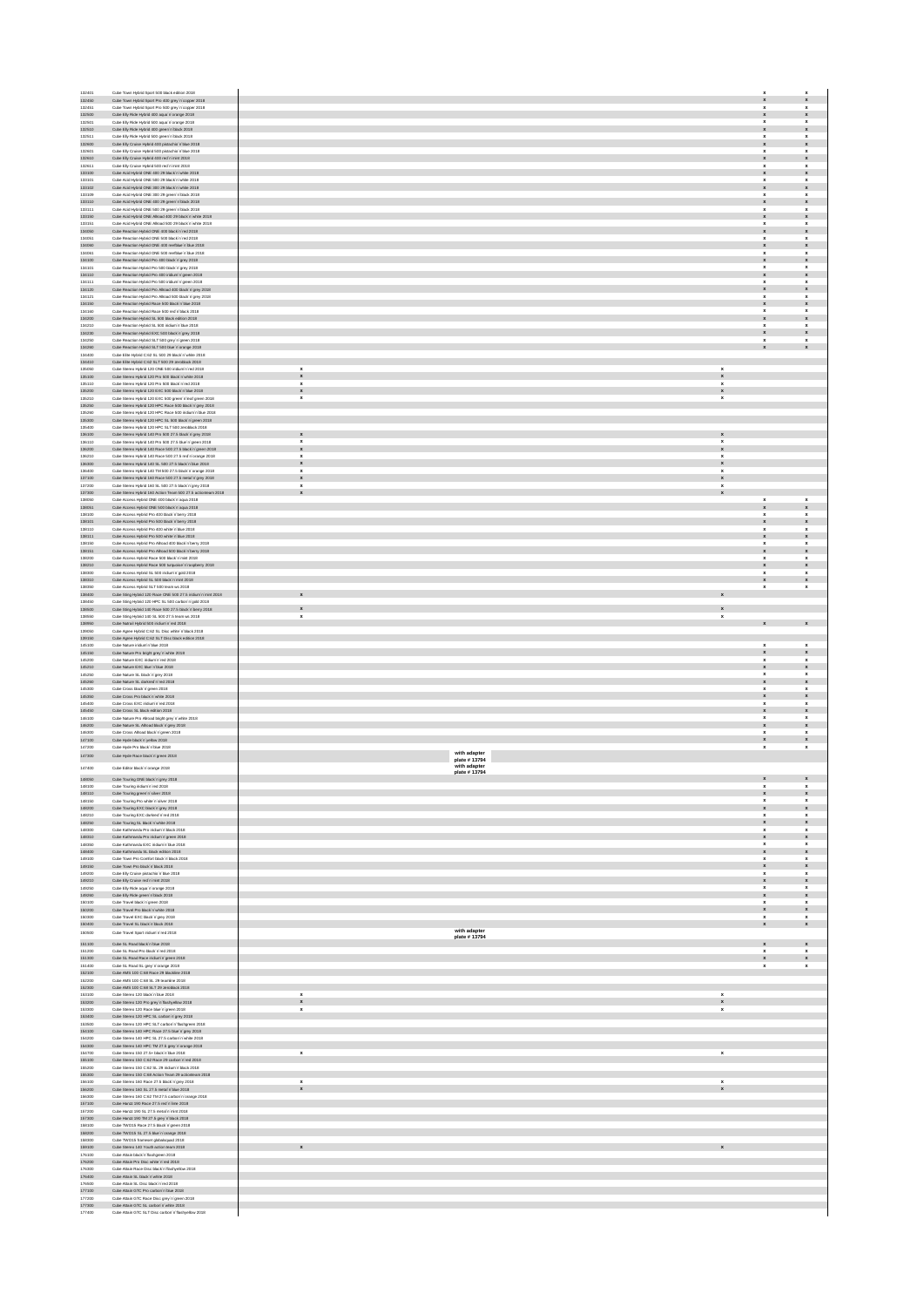| 132401                                                                                                                                                                                                                                                                                                                                                                                                                                                                   | Cube Town Hybrid Sport 500 black edition 2018                                                                    |
|--------------------------------------------------------------------------------------------------------------------------------------------------------------------------------------------------------------------------------------------------------------------------------------------------------------------------------------------------------------------------------------------------------------------------------------------------------------------------|------------------------------------------------------------------------------------------------------------------|
| 132450<br>132451                                                                                                                                                                                                                                                                                                                                                                                                                                                         | Cube Town Hybrid Sport Pro 400 grey'n'copper 2018<br>Cube Town Hybrid Sport Pro 500 grey'n'copper 2018           |
| 132500                                                                                                                                                                                                                                                                                                                                                                                                                                                                   | Cube Elly Ride Hybrid 400 aqua 'n'orange 2018                                                                    |
| 132501                                                                                                                                                                                                                                                                                                                                                                                                                                                                   | Cube Elly Ride Hybrid 500 aqua'n'orange 2018                                                                     |
| 132510<br>132511                                                                                                                                                                                                                                                                                                                                                                                                                                                         | Cube Elly Ride Hybrid 400 green'n black 2018<br>Cube Elly Ride Hybrid 500 green'n black 2018                     |
| 132600                                                                                                                                                                                                                                                                                                                                                                                                                                                                   | Cube Elly Cruise Hybrid 400 pistachio'n blue 2018                                                                |
| 132601                                                                                                                                                                                                                                                                                                                                                                                                                                                                   | Cube Elly Cruise Hybrid 500 pistachio'n blue 2018                                                                |
| 132610<br>132611                                                                                                                                                                                                                                                                                                                                                                                                                                                         | Cube Elly Cruise Hybrid 400 red'n'mint 2018<br>Cube Elly Cruise Hybrid 500 red'n'mint 2018                       |
| 133100                                                                                                                                                                                                                                                                                                                                                                                                                                                                   | Cube Acid Hybrid ONE 400 29 black in white 2018                                                                  |
| 133101<br>133102                                                                                                                                                                                                                                                                                                                                                                                                                                                         | Cube Acid Hybrid ONE 500 29 black in white 2018<br>Cube Acid Hybrid ONE 300 29 black'n'white 2018                |
| 133109                                                                                                                                                                                                                                                                                                                                                                                                                                                                   | Cube Acid Hybrid ONE 300 29 green 'n black 2018                                                                  |
| 133110                                                                                                                                                                                                                                                                                                                                                                                                                                                                   | Cube Acid Hybrid ONE 400 29 green 'n black 2018                                                                  |
| 133111<br>133150                                                                                                                                                                                                                                                                                                                                                                                                                                                         | Cube Acid Hybrid ONE 500 29 green 'n 'black 2018<br>Cube Acid Hybrid ONE Allroad 400 29 black'n'white 2018       |
| 133151                                                                                                                                                                                                                                                                                                                                                                                                                                                                   | Cube Acid Hybrid ONE Alroad 500 29 black'n'white 2018                                                            |
| 134050                                                                                                                                                                                                                                                                                                                                                                                                                                                                   | Cube Reaction Hybrid ONE 400 black'n'red 2018                                                                    |
| 134051<br>134060                                                                                                                                                                                                                                                                                                                                                                                                                                                         | Cube Reaction Hybrid ONE 500 black'n'red 2018<br>Cube Reaction Hybrid ONE 400 reefblue'n blue 2018               |
| 134061                                                                                                                                                                                                                                                                                                                                                                                                                                                                   | Cube Reaction Hybrid ONE 500 reefblue'n blue 2018                                                                |
| 134100                                                                                                                                                                                                                                                                                                                                                                                                                                                                   | Cube Reaction Hybrid Pro 400 black in grey 2018                                                                  |
| 134101<br>134110                                                                                                                                                                                                                                                                                                                                                                                                                                                         | Cube Reaction Hybrid Pro 500 black in grey 2018                                                                  |
| 134111                                                                                                                                                                                                                                                                                                                                                                                                                                                                   | Cube Reaction Hybrid Pro 400 indium'n'green 2018<br>Cube Reaction Hybrid Pro 500 indium'n'green 2018             |
| 134120                                                                                                                                                                                                                                                                                                                                                                                                                                                                   | Cube Reaction Hybrid Pro Allroad 400 black'n'grey 2018                                                           |
| 134121<br>134150                                                                                                                                                                                                                                                                                                                                                                                                                                                         | Cube Reaction Hybrid Pro Allroad 500 black'n'grey 2018<br>Cube Reaction Hybrid Race 500 black'n blue 2018        |
| 134160                                                                                                                                                                                                                                                                                                                                                                                                                                                                   | Cube Reaction Hybrid Race 500 red in black 2018                                                                  |
| 134200                                                                                                                                                                                                                                                                                                                                                                                                                                                                   | Cube Reaction Hybrid SL 500 black edition 2018                                                                   |
| 134210<br>134230                                                                                                                                                                                                                                                                                                                                                                                                                                                         | Cube Reaction Hybrid SL 500 indium'n blue 2018<br>Cube Reaction Hybrid EXC 500 black'n'grey 2018                 |
| 134250                                                                                                                                                                                                                                                                                                                                                                                                                                                                   | Cube Reaction Hybrid SLT 500 grey'n'green 2018                                                                   |
| 134260                                                                                                                                                                                                                                                                                                                                                                                                                                                                   | Cube Reaction Hybrid SLT 500 blue'n'orange 2018                                                                  |
| 134400<br>134410                                                                                                                                                                                                                                                                                                                                                                                                                                                         | Cube Elite Hybrid C:62 SL 500 29 black'n'white 2018<br>Cube Elite Hybrid C:62 SLT 500 29 zeroblack 2018          |
| 135050                                                                                                                                                                                                                                                                                                                                                                                                                                                                   | Cube Stereo Hybrid 120 ONE 500 indium'n'red 2018                                                                 |
| 135100                                                                                                                                                                                                                                                                                                                                                                                                                                                                   | Cube Stereo Hybrid 120 Pro 500 black 'n white 2018                                                               |
| 135110<br>135200                                                                                                                                                                                                                                                                                                                                                                                                                                                         | Cube Stereo Hybrid 120 Pro 500 black 'n 'red 2018<br>Cube Stereo Hybrid 120 EXC 500 black'n blue 2018            |
| 135210                                                                                                                                                                                                                                                                                                                                                                                                                                                                   | Cube Stereo Hybrid 120 EXC 500 green'n leaf green 2018                                                           |
| 135250                                                                                                                                                                                                                                                                                                                                                                                                                                                                   | Cube Stereo Hybrid 120 HPC Race 500 black'n'grey 2018                                                            |
| 135260<br>135300                                                                                                                                                                                                                                                                                                                                                                                                                                                         | Cube Stereo Hybrid 120 HPC Race 500 iridium'n blue 2018<br>Cube Stereo Hybrid 120 HPC SL 500 black'n'green 2018  |
| 135400                                                                                                                                                                                                                                                                                                                                                                                                                                                                   | Cube Stereo Hybrid 120 HPC SLT 500 zeroblack 2018                                                                |
| 136100                                                                                                                                                                                                                                                                                                                                                                                                                                                                   | Cube Stereo Hybrid 140 Pro 500 27.5 black'n'arey 2018<br>Cube Stereo Hybrid 140 Pro 500 27.5 blue 'n 'green 2018 |
| 136110<br>136200                                                                                                                                                                                                                                                                                                                                                                                                                                                         | Cube Stereo Hybrid 140 Race 500 27.5 black'n'green 2018                                                          |
| 136210                                                                                                                                                                                                                                                                                                                                                                                                                                                                   | Cube Stereo Hybrid 140 Race 500 27.5 red n'orange 2018                                                           |
| 136300<br>136400                                                                                                                                                                                                                                                                                                                                                                                                                                                         | Cube Stereo Hybrid 140 SL 500 27.5 black'n blue 2018<br>Cube Stereo Hybrid 140 TM 500 27.5 black'n'orange 2018   |
| 137100                                                                                                                                                                                                                                                                                                                                                                                                                                                                   | Cube Stereo Hybrid 160 Race 500 27.5 metal n'grey 2018                                                           |
| 137200                                                                                                                                                                                                                                                                                                                                                                                                                                                                   | Cube Stereo Hybrid 160 SL 500 27.5 black'n'grey 2018                                                             |
| 137300                                                                                                                                                                                                                                                                                                                                                                                                                                                                   | Cube Stereo Hybrid 160 Action Team 500 27.5 actionteam 2018                                                      |
| 138050<br>138051                                                                                                                                                                                                                                                                                                                                                                                                                                                         | Cube Access Hybrid ONE 400 black 'n'aqua 2018<br>Cube Access Hybrid ONE 500 black 'n agua 2018                   |
| 138100                                                                                                                                                                                                                                                                                                                                                                                                                                                                   | Cube Access Hybrid Pro 400 black'n berry 2018                                                                    |
| 138101                                                                                                                                                                                                                                                                                                                                                                                                                                                                   | Cube Access Hybrid Pro 500 black'n berry 2018<br>Cube Access Hybrid Pro 400 white'n blue 2018                    |
| 138110<br>138111                                                                                                                                                                                                                                                                                                                                                                                                                                                         | Cube Access Hybrid Pro 500 white'n blue 2018                                                                     |
| 138150                                                                                                                                                                                                                                                                                                                                                                                                                                                                   | Cube Access Hybrid Pro Alroad 400 black'n berry 2018                                                             |
| 138151                                                                                                                                                                                                                                                                                                                                                                                                                                                                   | Cube Access Hybrid Pro Alroad 500 black'n berry 2018                                                             |
| 138200<br>138210                                                                                                                                                                                                                                                                                                                                                                                                                                                         | Cube Access Hybrid Race 500 black'n'mint 2018<br>Cube Access Hybrid Race 500 turquoise'n 'raspberry 2018         |
| 138300                                                                                                                                                                                                                                                                                                                                                                                                                                                                   | Cube Access Hybrid SL 500 indium'n'gold 2018                                                                     |
| 138310                                                                                                                                                                                                                                                                                                                                                                                                                                                                   | Cube Access Hybrid SL 500 black'n'mint 2018                                                                      |
| 138350<br>138400                                                                                                                                                                                                                                                                                                                                                                                                                                                         | Cube Access Hybrid SLT 500 team ws 2018<br>Cube Sting Hybrid 120 Race ONE 500 27.5 indium'n'mint 2018            |
| 138450                                                                                                                                                                                                                                                                                                                                                                                                                                                                   | Cube Sting Hybrid 120 HPC SL 500 carbon'n'gold 2018                                                              |
| 138500                                                                                                                                                                                                                                                                                                                                                                                                                                                                   | Cube Sting Hybrid 140 Race 500 27.5 black'n berry 2018                                                           |
| 138550<br>138950                                                                                                                                                                                                                                                                                                                                                                                                                                                         | Cube Sting Hybrid 140 SL 500 27.5 team ws 2018<br>Cube Nutrail Hybrid 500 iridium'n'red 2018                     |
| 139050                                                                                                                                                                                                                                                                                                                                                                                                                                                                   | Cube Agree Hybrid C:62 SL Disc white'n black 2018                                                                |
| 139150                                                                                                                                                                                                                                                                                                                                                                                                                                                                   | Cube Agree Hybrid C:62 SLT Disc black edition 2018                                                               |
| 145100<br>145150                                                                                                                                                                                                                                                                                                                                                                                                                                                         | Cube Nature iridium'n'blue 2018<br>Cube Nature Pro bright grey'n'white 2018                                      |
|                                                                                                                                                                                                                                                                                                                                                                                                                                                                          |                                                                                                                  |
|                                                                                                                                                                                                                                                                                                                                                                                                                                                                          |                                                                                                                  |
| 145200<br>145210                                                                                                                                                                                                                                                                                                                                                                                                                                                         | Cube Nature EXC iridium'n'red 2018<br>Cube Nature EXC blue'n'blue 2018                                           |
| 145250                                                                                                                                                                                                                                                                                                                                                                                                                                                                   | Cube Nature SL black'n'grey 2018                                                                                 |
| 145260<br>145300                                                                                                                                                                                                                                                                                                                                                                                                                                                         | Cube Nature SL darkred'n'red 2018<br>Cube Cross black in green 2018                                              |
| 145350                                                                                                                                                                                                                                                                                                                                                                                                                                                                   | Cube Cross Pro black'n white 2018                                                                                |
| 145400                                                                                                                                                                                                                                                                                                                                                                                                                                                                   | Cube Cross EXC iddum'n'red 2018                                                                                  |
| 145450<br>146100                                                                                                                                                                                                                                                                                                                                                                                                                                                         | Cube Cross SL black edition 2018<br>Cube Nature Pro Aliroad bright grey'n white 2018                             |
| 146200                                                                                                                                                                                                                                                                                                                                                                                                                                                                   | Cube Nature SL Allroad black'n'grey 2018                                                                         |
|                                                                                                                                                                                                                                                                                                                                                                                                                                                                          | Cube Cross Alroad black'n'green 2018                                                                             |
|                                                                                                                                                                                                                                                                                                                                                                                                                                                                          | Cube Hyde black'n'yellow 2018<br>Cube Hyde Pro black'n blue 2018                                                 |
| 146300<br>147100<br>147200                                                                                                                                                                                                                                                                                                                                                                                                                                               |                                                                                                                  |
|                                                                                                                                                                                                                                                                                                                                                                                                                                                                          | Cube Hyde Race black'n'green 2018                                                                                |
|                                                                                                                                                                                                                                                                                                                                                                                                                                                                          | Cube Editor black in orange 2018                                                                                 |
| 148100                                                                                                                                                                                                                                                                                                                                                                                                                                                                   | Cube Touring ONE black'n'grey 2018<br>Cube Touring indium in red 2018                                            |
| 147300<br>147400<br>148050<br>148110                                                                                                                                                                                                                                                                                                                                                                                                                                     | Cube Touring green in silver 2018                                                                                |
| 148150                                                                                                                                                                                                                                                                                                                                                                                                                                                                   | Cube Touring Pro white'n'silver 2018                                                                             |
| 148200<br>148210                                                                                                                                                                                                                                                                                                                                                                                                                                                         | Cube Touring EXC black'n'grey 2018                                                                               |
|                                                                                                                                                                                                                                                                                                                                                                                                                                                                          | Cube Touring EXC darkred in red 2018<br>Cube Touring SL black 'n 'white 2018                                     |
| 148250<br>148300                                                                                                                                                                                                                                                                                                                                                                                                                                                         | Cube Kathmandu Pro iridium'n'black 2018                                                                          |
| 148310                                                                                                                                                                                                                                                                                                                                                                                                                                                                   | Cube Kathmandu Pro iridium'n'green 2018                                                                          |
| 148350<br>148400                                                                                                                                                                                                                                                                                                                                                                                                                                                         | Cube Kathmandu EXC iridium'n blue 2018<br>Cube Kathmandu SL black edition 2018                                   |
|                                                                                                                                                                                                                                                                                                                                                                                                                                                                          | Cube Town Pro Comfort black'n black 2018                                                                         |
|                                                                                                                                                                                                                                                                                                                                                                                                                                                                          | Cube Town Pro black'n 'black 2018<br>Cube Elly Cruise pistachio'n blue 2018                                      |
|                                                                                                                                                                                                                                                                                                                                                                                                                                                                          | Cube Elly Cruise red'n'mint 2018                                                                                 |
|                                                                                                                                                                                                                                                                                                                                                                                                                                                                          | Cube Elly Ride aqua 'n'orange 2018                                                                               |
|                                                                                                                                                                                                                                                                                                                                                                                                                                                                          | Cube Elly Ride green'n black 2018<br>Cube Travel black'n'green 2018                                              |
|                                                                                                                                                                                                                                                                                                                                                                                                                                                                          | Cube Travel Pro black'n'white 2018                                                                               |
|                                                                                                                                                                                                                                                                                                                                                                                                                                                                          | Cube Travel EXC black'n'orey 2018                                                                                |
|                                                                                                                                                                                                                                                                                                                                                                                                                                                                          | Cube Travel SL black'n black 2018<br>Cube Travel Sport indium'n'red 2018                                         |
|                                                                                                                                                                                                                                                                                                                                                                                                                                                                          |                                                                                                                  |
|                                                                                                                                                                                                                                                                                                                                                                                                                                                                          | Cube SL Road black'n'blue 2018<br>Cube SL Road Pro black'n'red 2018                                              |
|                                                                                                                                                                                                                                                                                                                                                                                                                                                                          | Cube SL Road Race indum'n'green 2018                                                                             |
|                                                                                                                                                                                                                                                                                                                                                                                                                                                                          | Cube SL Road SL grey'n'orange 2018                                                                               |
|                                                                                                                                                                                                                                                                                                                                                                                                                                                                          | Cube AMS 100 C:68 Race 29 blackline 2018<br>Cube AMS 100 C:68 SL 29 teamline 2018                                |
|                                                                                                                                                                                                                                                                                                                                                                                                                                                                          | Cube AMS 100 C:68 SLT 29 zeroblack 2018                                                                          |
|                                                                                                                                                                                                                                                                                                                                                                                                                                                                          | Cube Stereo 120 black'n'blue 2018                                                                                |
|                                                                                                                                                                                                                                                                                                                                                                                                                                                                          | Cube Stereo 120 Pro grey 'n flashyellow 2018<br>Cube Stereo 120 Race blue'n green 2018                           |
|                                                                                                                                                                                                                                                                                                                                                                                                                                                                          | Cube Stereo 120 HPC SL carbon'n'grey 2018                                                                        |
|                                                                                                                                                                                                                                                                                                                                                                                                                                                                          | Cube Stereo 120 HPC SLT carbon'n flashgreen 2018                                                                 |
|                                                                                                                                                                                                                                                                                                                                                                                                                                                                          | Cube Stereo 140 HPC Race 27.5 blue'n'grey 2018<br>Cube Stereo 140 HPC SL 27.5 carbon'n'white 2018                |
|                                                                                                                                                                                                                                                                                                                                                                                                                                                                          | Cube Stereo 140 HPC TM 27.5 grey in orange 2018                                                                  |
|                                                                                                                                                                                                                                                                                                                                                                                                                                                                          | Cube Stereo 150 27.5+ black'n blue 2018                                                                          |
|                                                                                                                                                                                                                                                                                                                                                                                                                                                                          | Cube Stereo 150 C:62 Race 29 carbon'n'ned 2018                                                                   |
|                                                                                                                                                                                                                                                                                                                                                                                                                                                                          | Cube Stereo 150 C 62 SL 29 indium'n'black 2018<br>Cube Stereo 150 C:68 Action Team 29 actionteam 2018            |
|                                                                                                                                                                                                                                                                                                                                                                                                                                                                          | Cube Stereo 160 Race 27.5 black'n'grey 2018                                                                      |
|                                                                                                                                                                                                                                                                                                                                                                                                                                                                          | Cube Stereo 160 SL 27.5 metal in blue 2018<br>Cube Stereo 160 C:62 TM 27.5 carbon'n'orange 2018                  |
|                                                                                                                                                                                                                                                                                                                                                                                                                                                                          | Cube Hanzz 190 Race 27.5 red'n'lime 2018                                                                         |
|                                                                                                                                                                                                                                                                                                                                                                                                                                                                          | Cube Hanzz 190 SL 27.5 metal n'mint 2018                                                                         |
|                                                                                                                                                                                                                                                                                                                                                                                                                                                                          | Cube Hanzz 190 TM 27.5 grey'n black 2018<br>Cube TWO15 Race 27.5 black'n'green 2018                              |
|                                                                                                                                                                                                                                                                                                                                                                                                                                                                          | Cube TWO15 SL 27.5 blue'n'orange 2018                                                                            |
|                                                                                                                                                                                                                                                                                                                                                                                                                                                                          | Cube TWO15 frameset globalsquad 2018                                                                             |
|                                                                                                                                                                                                                                                                                                                                                                                                                                                                          | Cube Stereo 140 Youth action team 2018<br>Cube Attain black'n'flashgreen 2018                                    |
|                                                                                                                                                                                                                                                                                                                                                                                                                                                                          | Cube Attain Pro Disc white'n 'red 2018                                                                           |
|                                                                                                                                                                                                                                                                                                                                                                                                                                                                          | Cube Attain Race Disc black'n'flashyellow 2018                                                                   |
|                                                                                                                                                                                                                                                                                                                                                                                                                                                                          | Cube Attain SL black'n'white 2018<br>Cube Attain SL Disc black'n'ned 2018                                        |
| 149100<br>149150<br>149200<br>149210<br>149250<br>149260<br>150100<br>150200<br>150300<br>150400<br>150500<br>151100<br>151200<br>151300<br>151400<br>152100<br>152200<br>152300<br>153100<br>153200<br>153300<br>153400<br>153500<br>154100<br>154200<br>154300<br>154700<br>155100<br>155200<br>155300<br>156100<br>156200<br>156300<br>157100<br>157200<br>157300<br>158100<br>158200<br>158300<br>159100<br>176100<br>176200<br>176300<br>176400<br>176500<br>177100 | Cube Attain GTC Pro carbon'n'blue 2018                                                                           |
| 177200<br>177300                                                                                                                                                                                                                                                                                                                                                                                                                                                         | Cube Attain GTC Race Disc grey'n'green 2018<br>Cube Attain GTC SL carbon'n'white 2018                            |